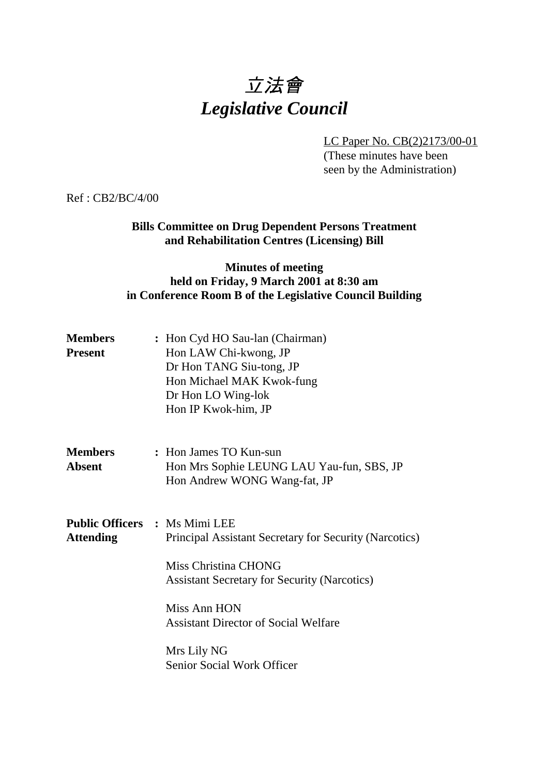# 立法會 *Legislative Council*

LC Paper No. CB(2)2173/00-01

(These minutes have been seen by the Administration)

Ref : CB2/BC/4/00

# **Bills Committee on Drug Dependent Persons Treatment and Rehabilitation Centres (Licensing) Bill**

## **Minutes of meeting held on Friday, 9 March 2001 at 8:30 am in Conference Room B of the Legislative Council Building**

| <b>Members</b><br><b>Present</b> | : Hon Cyd HO Sau-lan (Chairman)<br>Hon LAW Chi-kwong, JP<br>Dr Hon TANG Siu-tong, JP<br>Hon Michael MAK Kwok-fung<br>Dr Hon LO Wing-lok<br>Hon IP Kwok-him, JP                                                                                                                                   |
|----------------------------------|--------------------------------------------------------------------------------------------------------------------------------------------------------------------------------------------------------------------------------------------------------------------------------------------------|
| <b>Members</b><br><b>Absent</b>  | : Hon James TO Kun-sun<br>Hon Mrs Sophie LEUNG LAU Yau-fun, SBS, JP<br>Hon Andrew WONG Wang-fat, JP                                                                                                                                                                                              |
| <b>Attending</b>                 | <b>Public Officers : Ms Mimi LEE</b><br>Principal Assistant Secretary for Security (Narcotics)<br>Miss Christina CHONG<br><b>Assistant Secretary for Security (Narcotics)</b><br>Miss Ann HON<br><b>Assistant Director of Social Welfare</b><br>Mrs Lily NG<br><b>Senior Social Work Officer</b> |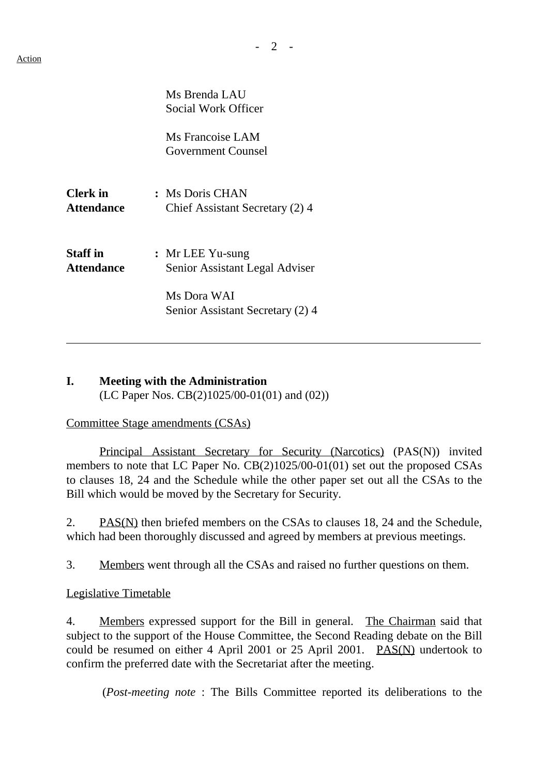|                               | Ms Brenda LAU<br><b>Social Work Officer</b>          |
|-------------------------------|------------------------------------------------------|
|                               | Ms Francoise LAM<br><b>Government Counsel</b>        |
| <b>Clerk</b> in<br>Attendance | : Ms Doris CHAN<br>Chief Assistant Secretary (2) 4   |
| <b>Staff in</b><br>Attendance | $:$ Mr LEE Yu-sung<br>Senior Assistant Legal Adviser |
|                               | Ms Dora WAI<br>Senior Assistant Secretary (2) 4      |

## **I. Meeting with the Administration** (LC Paper Nos. CB(2)1025/00-01(01) and (02))

## Committee Stage amendments (CSAs)

Principal Assistant Secretary for Security (Narcotics) (PAS(N)) invited members to note that LC Paper No. CB(2)1025/00-01(01) set out the proposed CSAs to clauses 18, 24 and the Schedule while the other paper set out all the CSAs to the Bill which would be moved by the Secretary for Security.

2. PAS(N) then briefed members on the CSAs to clauses 18, 24 and the Schedule, which had been thoroughly discussed and agreed by members at previous meetings.

3. Members went through all the CSAs and raised no further questions on them.

## Legislative Timetable

4. Members expressed support for the Bill in general. The Chairman said that subject to the support of the House Committee, the Second Reading debate on the Bill could be resumed on either 4 April 2001 or 25 April 2001. PAS(N) undertook to confirm the preferred date with the Secretariat after the meeting.

(*Post-meeting note* : The Bills Committee reported its deliberations to the